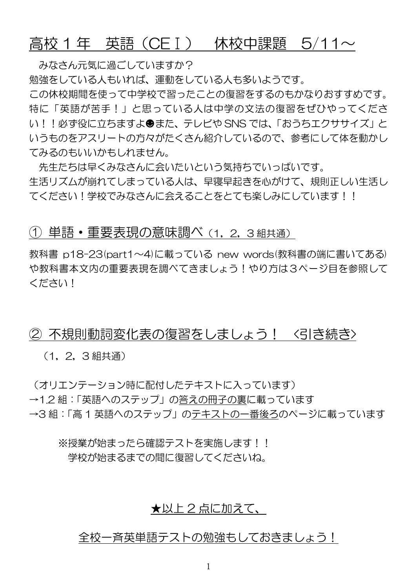# 高校 1 年 – 英語(CEⅠ) – 休校中課題 – 5/11 $\sim$

みなさん元気に過ごしていますか?

勉強をしている人もいれば、運動をしている人も多いようです。

この休校期間を使って中学校で習ったことの復習をするのもかなりおすすめです。 特に「英語が苦手!」と思っている人は中学の文法の復習をぜひやってくださ い!! 必ず役に立ちますよ●また、テレビや SNS では、「おうちエクササイズ」と いうものをアスリートの方々がたくさん紹介しているので、参考にして体を動かし てみるのもいいかもしれません。

先生たちは早くみなさんに会いたいという気持ちでいっぱいです。 生活リズムが崩れてしまっている人は、早寝早起きを心がけて、規則正しい生活し てください!学校でみなさんに会えることをとても楽しみにしています!!

## ① 単語・重要表現の意味調べ(1,2,3 組共通)

教科書 p18-23(part1~4)に載っている new words(教科書の端に書いてある) や教科書本文内の重要表現を調べてきましょう!やり方は3ページ目を参照して ください!

### ② 不規則動詞変化表の復習をしましょう! <引き続き>

(1,2,3 組共通)

(オリエンテーション時に配付したテキストに入っています) →12 組:「英語へのステップ」の答えの冊子の裏に載っています →3 組:「高 1 英語へのステップ」のテキストの一番後ろのページに載っています

※授業が始まったら確認テストを実施します!! 学校が始まるまでの間に復習してくださいね。

## ★以上 2 点に加えて、

#### 全校一斉英単語テストの勉強もしておきましょう!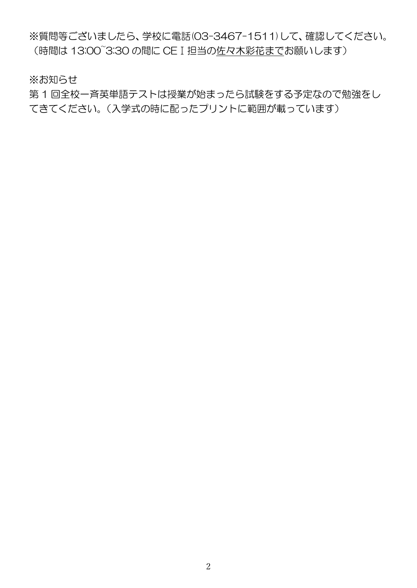※質問等ございましたら、学校に電話(03-3467-1511)して、確認してください。 (時間は 13:00~3:30 の間に CEⅠ担当の佐々木彩花までお願いします)

※お知らせ

第 1 回全校一斉英単語テストは授業が始まったら試験をする予定なので勉強をし てきてください。(入学式の時に配ったプリントに範囲が載っています)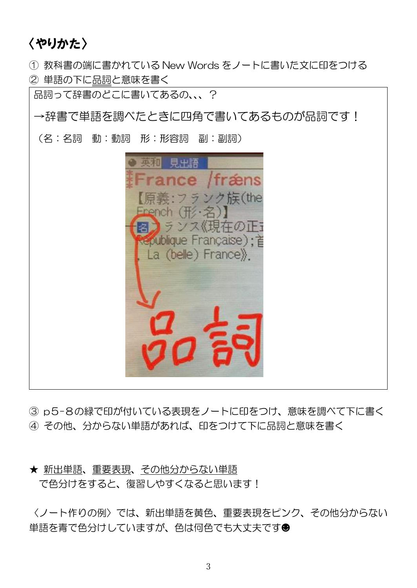# 〈やりかた〉

① 教科書の端に書かれている New Words をノートに書いた文に印をつける ② 単語の下に品詞と意味を書く

品詞って辞書のどこに書いてあるの、、、?

→辞書で単語を調べたときに四角で書いてあるものが品詞です!

(名:名詞 動:動詞 形:形容詞 副:副詞)



③ p5-8の緑で印が付いている表現をノートに印をつけ、意味を調べて下に書く ④ その他、分からない単語があれば、印をつけて下に品詞と意味を書く

# ★ 新出単語、重要表現、その他分からない単語 で色分けをすると、復習しやすくなると思います!

〈ノート作りの例〉では、新出単語を黄色、重要表現をピンク、その他分からない 単語を青で色分けしていますが、色は何色でも大丈夫です☻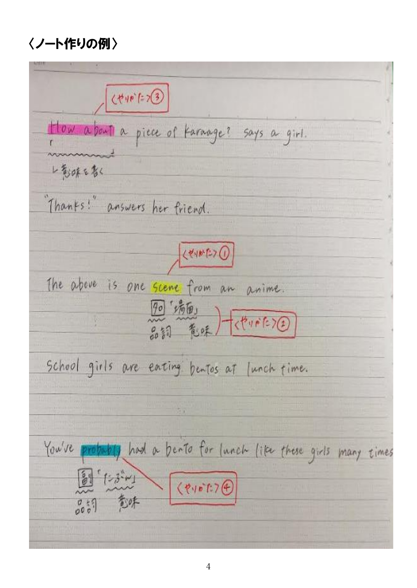# 〈ノート作りの例〉

 $(190)$  = 7 (3) How about a piece of Karaage? says a girl. レ気味もなく "Thanks!" answers her friend. くやかたつ The above is one scene from an anime. 8日 清面  $\frac{1}{2}$  $45 - 157$ School girls are earing bentos at Junch time. 五丁 You've probably had a bento for lunch like these girls many times  $69577$  $(21073)$ 暫味  $0000$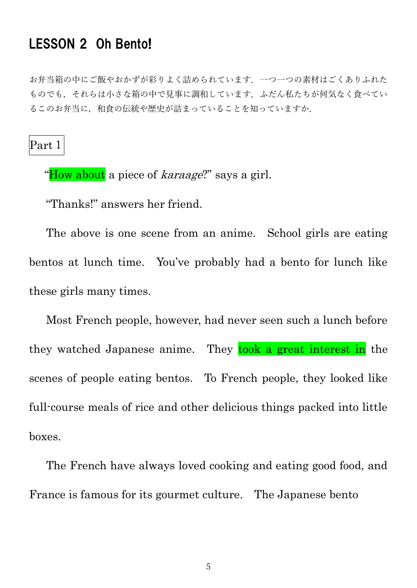# LESSON 2 Oh Bento!

お弁当箱の中にご飯やおかずが彩りよく詰められています.一つ一つの素材はごくありふれた ものでも,それらは小さな箱の中で見事に調和しています.ふだん私たちが何気なく食べてい るこのお弁当に,和食の伝統や歴史が詰まっていることを知っていますか.

Part 1

"How about a piece of *karaage*?" says a girl.

"Thanks!" answers her friend.

 The above is one scene from an anime. School girls are eating bentos at lunch time. You've probably had a bento for lunch like these girls many times.

 Most French people, however, had never seen such a lunch before they watched Japanese anime. They took a great interest in the scenes of people eating bentos. To French people, they looked like full-course meals of rice and other delicious things packed into little boxes.

 The French have always loved cooking and eating good food, and France is famous for its gourmet culture. The Japanese bento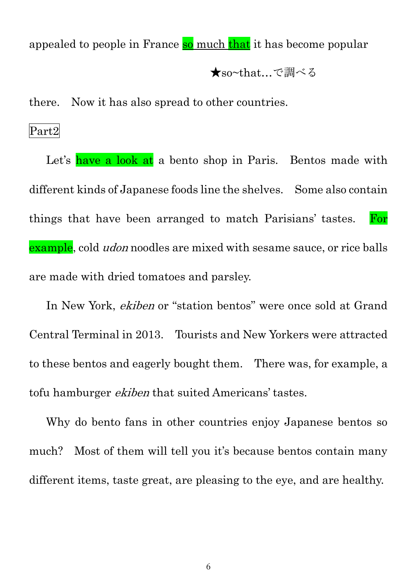appealed to people in France so much that it has become popular

★so~that…で調べる

there. Now it has also spread to other countries.

Part2

Let's have a look at a bento shop in Paris. Bentos made with different kinds of Japanese foods line the shelves. Some also contain things that have been arranged to match Parisians' tastes. For example, cold *udon* noodles are mixed with sesame sauce, or rice balls are made with dried tomatoes and parsley.

 In New York, ekiben or "station bentos" were once sold at Grand Central Terminal in 2013. Tourists and New Yorkers were attracted to these bentos and eagerly bought them. There was, for example, a tofu hamburger *ekiben* that suited Americans' tastes.

 Why do bento fans in other countries enjoy Japanese bentos so much? Most of them will tell you it's because bentos contain many different items, taste great, are pleasing to the eye, and are healthy.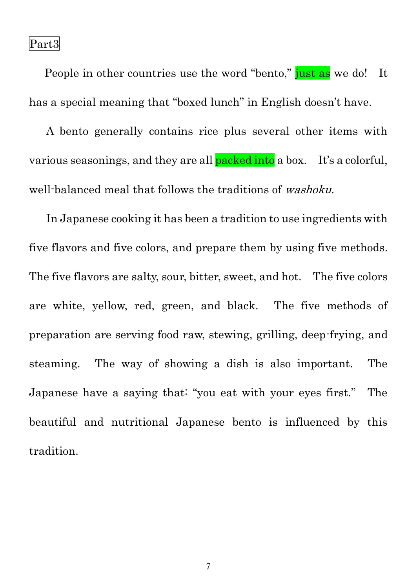Part3

People in other countries use the word "bento," just as we do! It has a special meaning that "boxed lunch" in English doesn't have.

 A bento generally contains rice plus several other items with various seasonings, and they are all **packed into** a box. It's a colorful, well-balanced meal that follows the traditions of *washoku*.

 In Japanese cooking it has been a tradition to use ingredients with five flavors and five colors, and prepare them by using five methods. The five flavors are salty, sour, bitter, sweet, and hot. The five colors are white, yellow, red, green, and black. The five methods of preparation are serving food raw, stewing, grilling, deep-frying, and steaming. The way of showing a dish is also important. The Japanese have a saying that: "you eat with your eyes first." The beautiful and nutritional Japanese bento is influenced by this tradition.

7